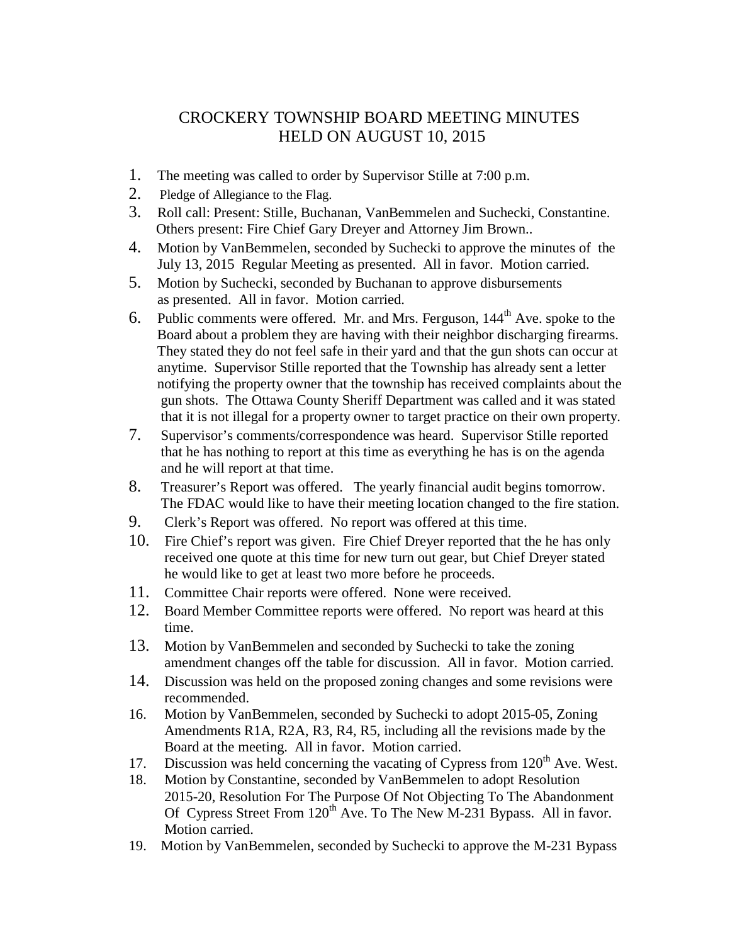## CROCKERY TOWNSHIP BOARD MEETING MINUTES HELD ON AUGUST 10, 2015

- 1. The meeting was called to order by Supervisor Stille at 7:00 p.m.
- 2. Pledge of Allegiance to the Flag.
- 3. Roll call: Present: Stille, Buchanan, VanBemmelen and Suchecki, Constantine. Others present: Fire Chief Gary Dreyer and Attorney Jim Brown..
- 4. Motion by VanBemmelen, seconded by Suchecki to approve the minutes of the July 13, 2015 Regular Meeting as presented. All in favor. Motion carried.
- 5. Motion by Suchecki, seconded by Buchanan to approve disbursements as presented. All in favor. Motion carried.
- 6. Public comments were offered. Mr. and Mrs. Ferguson,  $144<sup>th</sup>$  Ave. spoke to the Board about a problem they are having with their neighbor discharging firearms. They stated they do not feel safe in their yard and that the gun shots can occur at anytime. Supervisor Stille reported that the Township has already sent a letter notifying the property owner that the township has received complaints about the gun shots. The Ottawa County Sheriff Department was called and it was stated that it is not illegal for a property owner to target practice on their own property.
- 7. Supervisor's comments/correspondence was heard. Supervisor Stille reported that he has nothing to report at this time as everything he has is on the agenda and he will report at that time.
- 8. Treasurer's Report was offered. The yearly financial audit begins tomorrow. The FDAC would like to have their meeting location changed to the fire station.
- 9. Clerk's Report was offered. No report was offered at this time.
- 10. Fire Chief's report was given. Fire Chief Dreyer reported that the he has only received one quote at this time for new turn out gear, but Chief Dreyer stated he would like to get at least two more before he proceeds.
- 11. Committee Chair reports were offered. None were received.
- 12. Board Member Committee reports were offered. No report was heard at this time.
- 13. Motion by VanBemmelen and seconded by Suchecki to take the zoning amendment changes off the table for discussion. All in favor. Motion carried.
- 14. Discussion was held on the proposed zoning changes and some revisions were recommended.
- 16. Motion by VanBemmelen, seconded by Suchecki to adopt 2015-05, Zoning Amendments R1A, R2A, R3, R4, R5, including all the revisions made by the Board at the meeting. All in favor. Motion carried.
- 17. Discussion was held concerning the vacating of Cypress from  $120<sup>th</sup>$  Ave. West.
- 18. Motion by Constantine, seconded by VanBemmelen to adopt Resolution 2015-20, Resolution For The Purpose Of Not Objecting To The Abandonment Of Cypress Street From  $120^{th}$  Ave. To The New M-231 Bypass. All in favor. Motion carried.
- 19. Motion by VanBemmelen, seconded by Suchecki to approve the M-231 Bypass